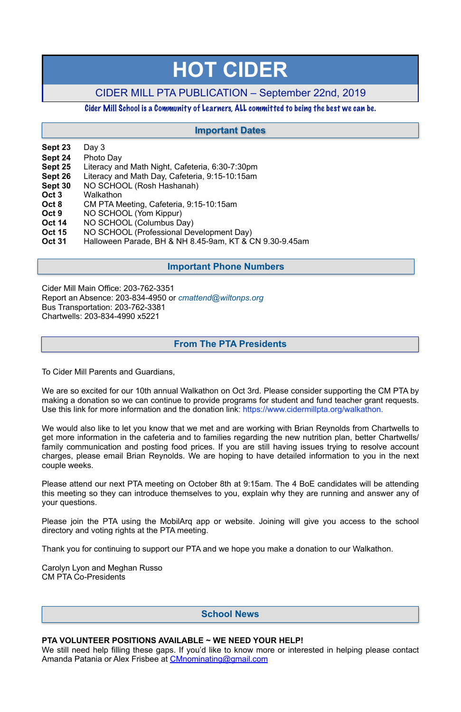- **Sept 23** Day 3
- **Sept 24** Photo Day
- **Sept 25** Literacy and Math Night, Cafeteria, 6:30-7:30pm
- **Sept 26** Literacy and Math Day, Cafeteria, 9:15-10:15am
- **Sept 30** NO SCHOOL (Rosh Hashanah)
- **Oct 3** Walkathon
- **Oct 8** CM PTA Meeting, Cafeteria, 9:15-10:15am
- **Oct 9** NO SCHOOL (Yom Kippur)
- **Oct 14** NO SCHOOL (Columbus Day)
- **Oct 15** NO SCHOOL (Professional Development Day)
- **Oct 31** Halloween Parade, BH & NH 8.45-9am, KT & CN 9.30-9.45am

Cider Mill Main Office: 203-762-3351 Report an Absence: 203-834-4950 or *[cmattend@wiltonps.org](mailto:fallonk@wiltonps.org)* Bus Transportation: 203-762-3381 Chartwells: 203-834-4990 x5221

To Cider Mill Parents and Guardians,

We are so excited for our 10th annual Walkathon on Oct 3rd. Please consider supporting the CM PTA by making a donation so we can continue to provide programs for student and fund teacher grant requests. Use this link for more information and the donation link: [https://www.cidermillpta.org/walkathon.](https://www.cidermillpta.org/walkathon)

We would also like to let you know that we met and are working with Brian Reynolds from Chartwells to get more information in the cafeteria and to families regarding the new nutrition plan, better Chartwells/ family communication and posting food prices. If you are still having issues trying to resolve account charges, please email Brian Reynolds. We are hoping to have detailed information to you in the next couple weeks.

Please attend our next PTA meeting on October 8th at 9:15am. The 4 BoE candidates will be attending this meeting so they can introduce themselves to you, explain why they are running and answer any of your questions.

Please join the PTA using the MobilArq app or website. Joining will give you access to the school

directory and voting rights at the PTA meeting.

Thank you for continuing to support our PTA and we hope you make a donation to our Walkathon.

Carolyn Lyon and Meghan Russo CM PTA Co-Presidents

#### **PTA VOLUNTEER POSITIONS AVAILABLE ~ WE NEED YOUR HELP!**

We still need help filling these gaps. If you'd like to know more or interested in helping please contact Amanda Patania or Alex Frisbee at [CMnominating@gmail.com](mailto:CMnominating@gmail.com)

# **HOT CIDER**

# CIDER MILL PTA PUBLICATION – September 22nd, 2019

## Cider Mill School is a Community of Learners, ALL committed to being the best we can be.

## **School News**

## **From The PTA Presidents**

## **Important Dates**

## **Important Phone Numbers**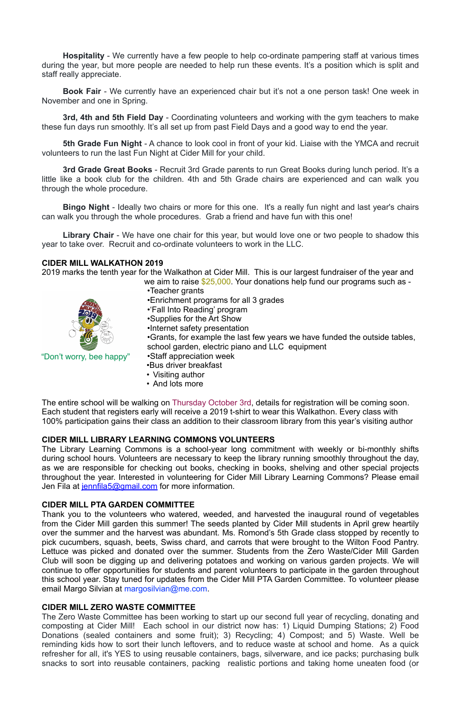**Hospitality** - We currently have a few people to help co-ordinate pampering staff at various times during the year, but more people are needed to help run these events. It's a position which is split and staff really appreciate.

**Book Fair** - We currently have an experienced chair but it's not a one person task! One week in November and one in Spring.

**3rd, 4th and 5th Field Day** - Coordinating volunteers and working with the gym teachers to make these fun days run smoothly. It's all set up from past Field Days and a good way to end the year.

**5th Grade Fun Night** - A chance to look cool in front of your kid. Liaise with the YMCA and recruit volunteers to run the last Fun Night at Cider Mill for your child.

2019 marks the tenth year for the Walkathon at Cider Mill. This is our largest fundraiser of the year and we aim to raise \$25,000. Your donations help fund our programs such as -

**3rd Grade Great Books** - Recruit 3rd Grade parents to run Great Books during lunch period. It's a little like a book club for the children. 4th and 5th Grade chairs are experienced and can walk you through the whole procedure.

**Bingo Night** - Ideally two chairs or more for this one. It's a really fun night and last year's chairs can walk you through the whole procedures. Grab a friend and have fun with this one!

The Library Learning Commons is a school-year long commitment with weekly or bi-monthly shifts during school hours. Volunteers are necessary to keep the library running smoothly throughout the day, as we are responsible for checking out books, checking in books, shelving and other special projects throughout the year. Interested in volunteering for Cider Mill Library Learning Commons? Please email Jen Fila at [jennfila5@gmail.com](mailto:jennfila5@gmail.com) for more information.

**Library Chair** - We have one chair for this year, but would love one or two people to shadow this year to take over. Recruit and co-ordinate volunteers to work in the LLC.

#### **CIDER MILL WALKATHON 2019**

- •Teacher grants
- •Enrichment programs for all 3 grades
- •'Fall Into Reading' program
- •Supplies for the Art Show
- •Internet safety presentation

•Grants, for example the last few years we have funded the outside tables, school garden, electric piano and LLC equipment

- •Staff appreciation week
- •Bus driver breakfast
- Visiting author
- And lots more

The entire school will be walking on Thursday October 3rd, details for registration will be coming soon. Each student that registers early will receive a 2019 t-shirt to wear this Walkathon. Every class with 100% participation gains their class an addition to their classroom library from this year's visiting author

## **CIDER MILL LIBRARY LEARNING COMMONS VOLUNTEERS**

## **CIDER MILL PTA GARDEN COMMITTEE**

Thank you to the volunteers who watered, weeded, and harvested the inaugural round of vegetables from [the Cider Mill](x-apple-data-detectors://3) garden this summer! The seeds planted by Cider Mill students in April grew heartily over the summer and the harvest was abundant. Ms. Romond's 5th Grade class stopped by recently to pick cucumbers, squash, beets, Swiss chard, and carrots that were brought to the Wilton Food Pantry. Lettuce was picked and donated over the summer. Students from [the Zero Waste/Cider Mill](x-apple-data-detectors://4) Garden Club will soon be digging up and delivering potatoes and working on various garden projects. We will continue to offer opportunities for students and parent volunteers to participate in the garden throughout this school year. Stay tuned for updates from [the Cider Mill](x-apple-data-detectors://5) PTA Garden Committee. To volunteer please email Margo Silvian at [margosilvian@m](mailto:margosilvian@mac.com)[e.com](http://e.com/).

#### **CIDER MILL ZERO WASTE COMMITTEE**

The Zero Waste Committee has been working to start up our second full year of recycling, donating and composting at Cider Mill! Each school in our district now has: 1) Liquid Dumping Stations; 2) Food Donations (sealed containers and some fruit); 3) Recycling; 4) Compost; and 5) Waste. Well be reminding kids how to sort their lunch leftovers, and to reduce waste at school and home. As a quick refresher for all, it's YES to using reusable containers, bags, silverware, and ice packs; purchasing bulk snacks to sort into reusable containers, packing realistic portions and taking home uneaten food (or



"Don't worry, bee happy"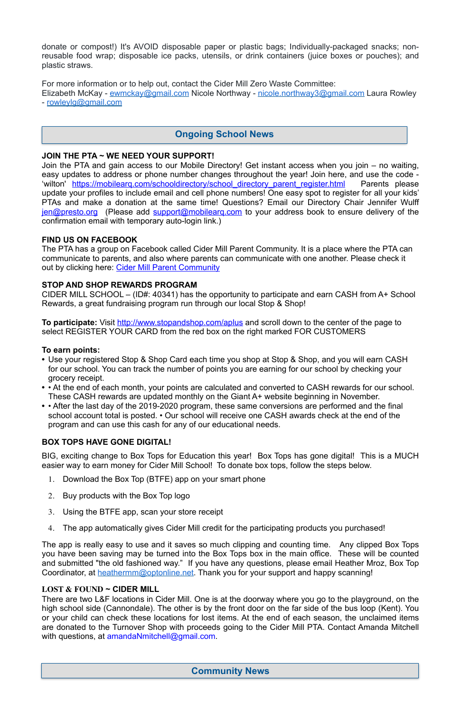donate or compost!) It's AVOID disposable paper or plastic bags; Individually-packaged snacks; nonreusable food wrap; disposable ice packs, utensils, or drink containers (juice boxes or pouches); and plastic straws.

For more information or to help out, contact the Cider Mill Zero Waste Committee: Elizabeth McKay - [ewmckay@gmail.com](mailto:ewmckay@gmail.com) Nicole Northway - [nicole.northway3@gmail.com](mailto:nicole.northway3@gmail.com) Laura Rowley - [rowleylg@gmail.com](mailto:rowleylg@gmail.com)

## **JOIN THE PTA ~ WE NEED YOUR SUPPORT!**

The PTA has a group on Facebook called Cider Mill Parent Community. It is a place where the PTA can communicate to parents, and also where parents can communicate with one another. Please check it out by clicking here: [Cider Mill Parent Community](https://www.facebook.com/groups/1168962513117647/)

Join the PTA and gain access to our Mobile Directory! Get instant access when you join – no waiting, easy updates to address or phone number changes throughout the year! Join here, and use the code - 'wilton' https://mobilearg.com/schooldirectory/school directory parent register.html Parents please update your profiles to include email and cell phone numbers! One easy spot to register for all your kids' PTAs and make a donation at the same time! Questions? Email our Directory Chair Jennifer Wulff [jen@presto.org](mailto:jen@presto.org) (Please add support@mobilearg.com to your address book to ensure delivery of the confirmation email with temporary auto-login link.)

**To participate:** Visit<http://www.stopandshop.com/aplus>and scroll down to the center of the page to select REGISTER YOUR CARD from the red box on the right marked FOR CUSTOMERS

## **FIND US ON FACEBOOK**

## **STOP AND SHOP REWARDS PROGRAM**

The app is really easy to use and it saves so much clipping and counting time. Any clipped Box Tops you have been saving may be turned into the Box Tops box in the main office. These will be counted and submitted "the old fashioned way." If you have any questions, please email Heather Mroz, Box Top Coordinator, at **heathermm@optonline.net**. Thank you for your support and happy scanning!

CIDER MILL SCHOOL – (ID#: 40341) has the opportunity to participate and earn CASH from A+ School Rewards, a great fundraising program run through our local Stop & Shop!

There are two L&F locations in Cider Mill. One is at the doorway where you go to the playground, on the high school side (Cannondale). The other is by the front door on the far side of the bus loop (Kent). You or your child can check these locations for lost items. At the end of each season, the unclaimed items are donated to the Turnover Shop with proceeds going to the Cider Mill PTA. Contact Amanda Mitchell with questions, at [amandaNmitchell@gmail.com](mailto:amandaNmitchell@gmail.com).

#### **To earn points:**

- **•** Use your registered Stop & Shop Card each time you shop at Stop & Shop, and you will earn CASH for our school. You can track the number of points you are earning for our school by checking your grocery receipt.
- **•** At the end of each month, your points are calculated and converted to CASH rewards for our school. These CASH rewards are updated monthly on the Giant A+ website beginning in November.
- **•** After the last day of the 2019-2020 program, these same conversions are performed and the final school account total is posted. • Our school will receive one CASH awards check at the end of the program and can use this cash for any of our educational needs.

## **BOX TOPS HAVE GONE DIGITAL!**

BIG, exciting change to Box Tops for Education this year! Box Tops has gone digital! This is a MUCH easier way to earn money for Cider Mill School! To donate box tops, follow the steps below.

- 1. Download the Box Top (BTFE) app on your smart phone
- 2. Buy products with the Box Top logo
- 3. Using the BTFE app, scan your store receipt

The app automatically gives Cider Mill credit for the participating products you purchased!

#### **LOST & FOUND ~ CIDER MILL**



# **Ongoing School News**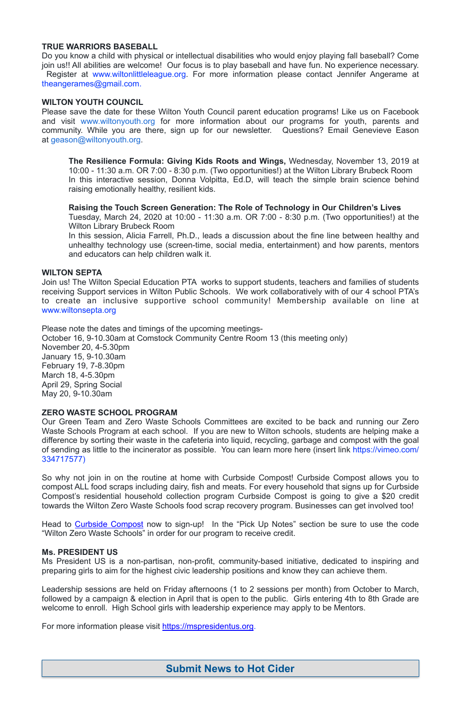#### **TRUE WARRIORS BASEBALL**

Do you know a child with physical or intellectual disabilities who would enjoy playing fall baseball? Come join us!! All abilities are welcome! Our focus is to play baseball and have fun. No experience necessary. Register at [www.wiltonlittleleague.org.](http://www.wiltonlittleleague.org/) For more information please contact Jennifer Angerame at theangerames@gmail.com.

#### **WILTON YOUTH COUNCIL**

Please save the date for these Wilton Youth Council parent education programs! Like us on Facebook and visit [www.wiltonyouth.org](http://www.wiltonyouth.org/) for more information about our programs for youth, parents and community. While you are there, sign up for our newsletter. Questions? Email Genevieve Eason at [geason@wiltonyouth.org.](mailto:geason@wiltonyouth.org)

**The Resilience Formula: Giving Kids Roots and Wings,** Wednesday, November 13, 2019 at 10:00 - 11:30 a.m. OR 7:00 - 8:30 p.m. (Two opportunities!) at the Wilton Library Brubeck Room In this interactive session, Donna Volpitta, Ed.D, will teach the simple brain science behind raising emotionally healthy, resilient kids.

**Raising the Touch Screen Generation: The Role of Technology in Our Children's Lives**  Tuesday, March 24, 2020 at 10:00 - 11:30 a.m. OR 7:00 - 8:30 p.m. (Two opportunities!) at the Wilton Library Brubeck Room

In this session, Alicia Farrell, Ph.D., leads a discussion about the fine line between healthy and unhealthy technology use (screen-time, social media, entertainment) and how parents, mentors and educators can help children walk it.

#### **WILTON SEPTA**

Head to [Curbside Compost](https://www.curbcompost.org) now to sign-up! In the "Pick Up Notes" section be sure to use the code "Wilton Zero Waste Schools" in order for our program to receive credit.

Join us! The Wilton Special Education PTA works to support students, teachers and families of students receiving Support services in Wilton Public Schools. We work collaboratively with of our 4 school PTA's to create an inclusive supportive school community! Membership available on line at [www.wiltonsepta.org](http://www.wiltonsepta.org/)

Please note the dates and timings of the upcoming meetings-October 16, 9-10.30am at Comstock Community Centre Room 13 (this meeting only) November 20, 4-5.30pm January 15, 9-10.30am February 19, 7-8.30pm March 18, 4-5.30pm April 29, Spring Social May 20, 9-10.30am

#### **ZERO WASTE SCHOOL PROGRAM**

Our Green Team and Zero Waste Schools Committees are excited to be back and running our Zero Waste Schools Program at each school. If you are new to Wilton schools, students are helping make a difference by sorting their waste in the cafeteria into liquid, recycling, garbage and compost with the goal of sending as little to the incinerator as possible. You can learn more here (insert link [https://vimeo.com/](https://vimeo.com/334717577) [334717577](https://vimeo.com/334717577))

So why not join in on the routine at home with Curbside Compost! Curbside Compost allows you to compost ALL food scraps including dairy, fish and meats. For every household that signs up for Curbside Compost's residential household collection program Curbside Compost is going to give a \$20 credit towards the Wilton Zero Waste Schools food scrap recovery program. Businesses can get involved too!

#### **Ms. PRESIDENT US**

Ms President US is a non-partisan, non-profit, community-based initiative, dedicated to inspiring and preparing girls to aim for the highest civic leadership positions and know they can achieve them.

Leadership sessions are held on Friday afternoons (1 to 2 sessions per month) from October to March, followed by a campaign & election in April that is open to the public. Girls entering 4th to 8th Grade are welcome to enroll. High School girls with leadership experience may apply to be Mentors.

For more information please visit <https://mspresidentus.org>.

# **Submit News to Hot Cider**